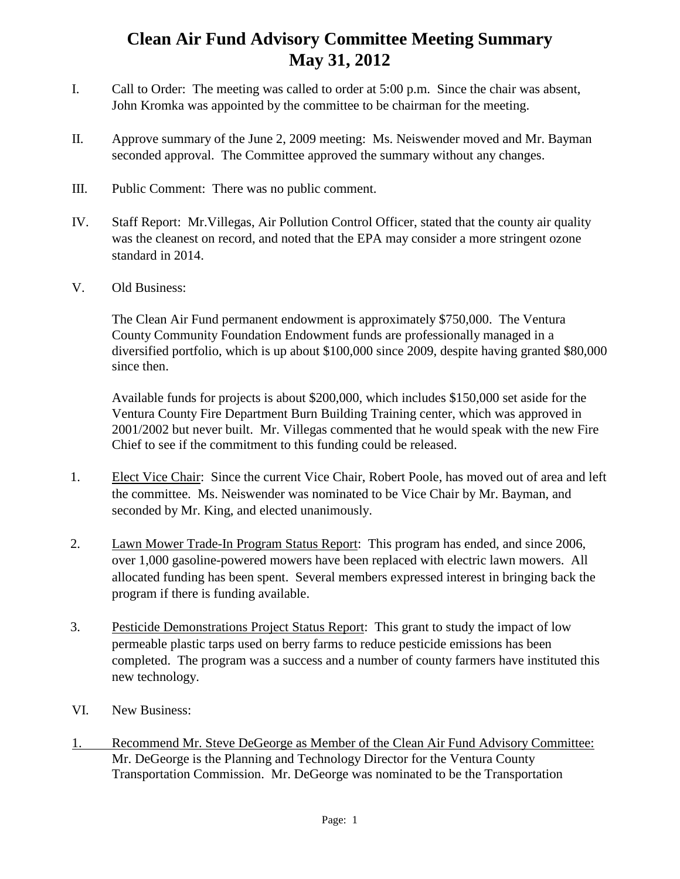## **Clean Air Fund Advisory Committee Meeting Summary May 31, 2012**

- I. Call to Order: The meeting was called to order at 5:00 p.m. Since the chair was absent, John Kromka was appointed by the committee to be chairman for the meeting.
- II. Approve summary of the June 2, 2009 meeting: Ms. Neiswender moved and Mr. Bayman seconded approval. The Committee approved the summary without any changes.
- III. Public Comment: There was no public comment.
- IV. Staff Report: Mr.Villegas, Air Pollution Control Officer, stated that the county air quality was the cleanest on record, and noted that the EPA may consider a more stringent ozone standard in 2014.
- V. Old Business:

The Clean Air Fund permanent endowment is approximately \$750,000. The Ventura County Community Foundation Endowment funds are professionally managed in a diversified portfolio, which is up about \$100,000 since 2009, despite having granted \$80,000 since then.

Available funds for projects is about \$200,000, which includes \$150,000 set aside for the Ventura County Fire Department Burn Building Training center, which was approved in 2001/2002 but never built. Mr. Villegas commented that he would speak with the new Fire Chief to see if the commitment to this funding could be released.

- 1. Elect Vice Chair: Since the current Vice Chair, Robert Poole, has moved out of area and left the committee. Ms. Neiswender was nominated to be Vice Chair by Mr. Bayman, and seconded by Mr. King, and elected unanimously.
- 2. Lawn Mower Trade-In Program Status Report: This program has ended, and since 2006, over 1,000 gasoline-powered mowers have been replaced with electric lawn mowers. All allocated funding has been spent. Several members expressed interest in bringing back the program if there is funding available.
- 3. Pesticide Demonstrations Project Status Report: This grant to study the impact of low permeable plastic tarps used on berry farms to reduce pesticide emissions has been completed. The program was a success and a number of county farmers have instituted this new technology.
- VI. New Business:
- 1. Recommend Mr. Steve DeGeorge as Member of the Clean Air Fund Advisory Committee: Mr. DeGeorge is the Planning and Technology Director for the Ventura County Transportation Commission. Mr. DeGeorge was nominated to be the Transportation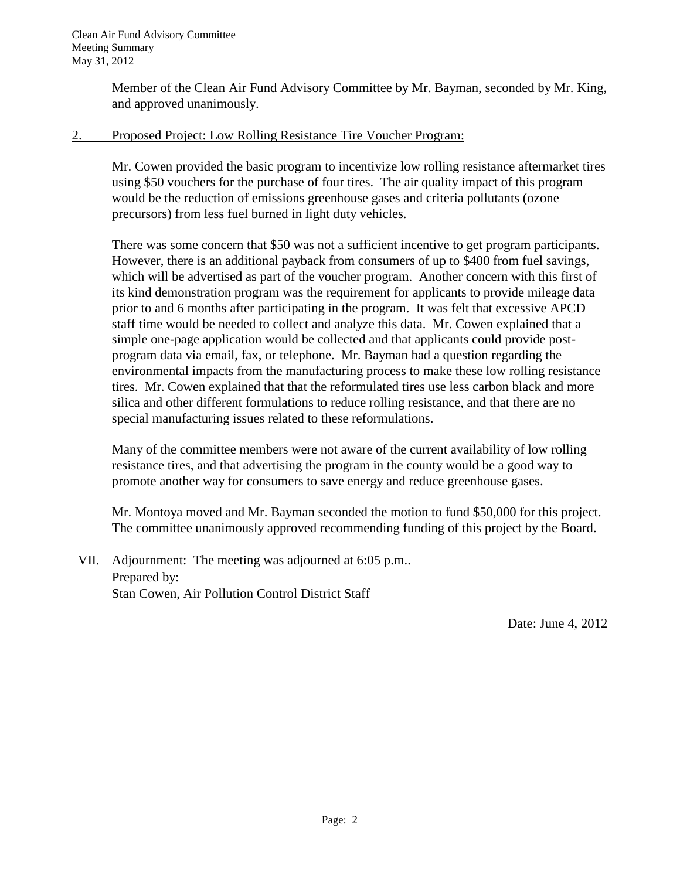Member of the Clean Air Fund Advisory Committee by Mr. Bayman, seconded by Mr. King, and approved unanimously.

## 2. Proposed Project: Low Rolling Resistance Tire Voucher Program:

Mr. Cowen provided the basic program to incentivize low rolling resistance aftermarket tires using \$50 vouchers for the purchase of four tires. The air quality impact of this program would be the reduction of emissions greenhouse gases and criteria pollutants (ozone precursors) from less fuel burned in light duty vehicles.

There was some concern that \$50 was not a sufficient incentive to get program participants. However, there is an additional payback from consumers of up to \$400 from fuel savings, which will be advertised as part of the voucher program. Another concern with this first of its kind demonstration program was the requirement for applicants to provide mileage data prior to and 6 months after participating in the program. It was felt that excessive APCD staff time would be needed to collect and analyze this data. Mr. Cowen explained that a simple one-page application would be collected and that applicants could provide postprogram data via email, fax, or telephone. Mr. Bayman had a question regarding the environmental impacts from the manufacturing process to make these low rolling resistance tires. Mr. Cowen explained that that the reformulated tires use less carbon black and more silica and other different formulations to reduce rolling resistance, and that there are no special manufacturing issues related to these reformulations.

Many of the committee members were not aware of the current availability of low rolling resistance tires, and that advertising the program in the county would be a good way to promote another way for consumers to save energy and reduce greenhouse gases.

Mr. Montoya moved and Mr. Bayman seconded the motion to fund \$50,000 for this project. The committee unanimously approved recommending funding of this project by the Board.

VII. Adjournment: The meeting was adjourned at 6:05 p.m.. Prepared by: Stan Cowen, Air Pollution Control District Staff

Date: June 4, 2012